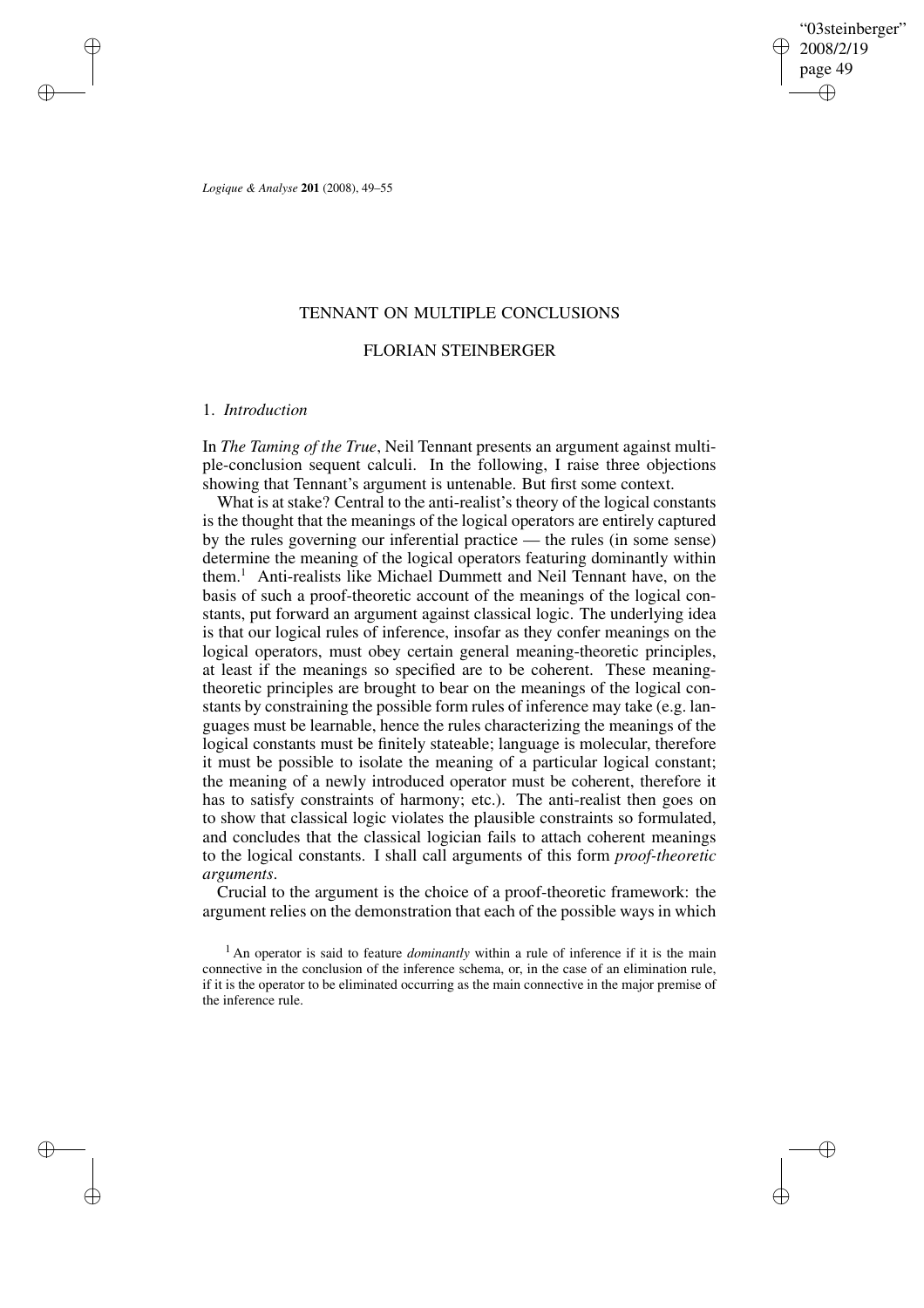"03steinberger" 2008/2/19 page 49 ✐ ✐

✐

✐

*Logique & Analyse* **201** (2008), 49–55

✐

✐

✐

✐

## TENNANT ON MULTIPLE CONCLUSIONS

## FLORIAN STEINBERGER

### 1. *Introduction*

In *The Taming of the True*, Neil Tennant presents an argument against multiple-conclusion sequent calculi. In the following, I raise three objections showing that Tennant's argument is untenable. But first some context.

What is at stake? Central to the anti-realist's theory of the logical constants is the thought that the meanings of the logical operators are entirely captured by the rules governing our inferential practice — the rules (in some sense) determine the meaning of the logical operators featuring dominantly within them.<sup>1</sup> Anti-realists like Michael Dummett and Neil Tennant have, on the basis of such a proof-theoretic account of the meanings of the logical constants, put forward an argument against classical logic. The underlying idea is that our logical rules of inference, insofar as they confer meanings on the logical operators, must obey certain general meaning-theoretic principles, at least if the meanings so specified are to be coherent. These meaningtheoretic principles are brought to bear on the meanings of the logical constants by constraining the possible form rules of inference may take (e.g. languages must be learnable, hence the rules characterizing the meanings of the logical constants must be finitely stateable; language is molecular, therefore it must be possible to isolate the meaning of a particular logical constant; the meaning of a newly introduced operator must be coherent, therefore it has to satisfy constraints of harmony; etc.). The anti-realist then goes on to show that classical logic violates the plausible constraints so formulated, and concludes that the classical logician fails to attach coherent meanings to the logical constants. I shall call arguments of this form *proof-theoretic arguments*.

Crucial to the argument is the choice of a proof-theoretic framework: the argument relies on the demonstration that each of the possible ways in which

<sup>1</sup> An operator is said to feature *dominantly* within a rule of inference if it is the main connective in the conclusion of the inference schema, or, in the case of an elimination rule, if it is the operator to be eliminated occurring as the main connective in the major premise of the inference rule.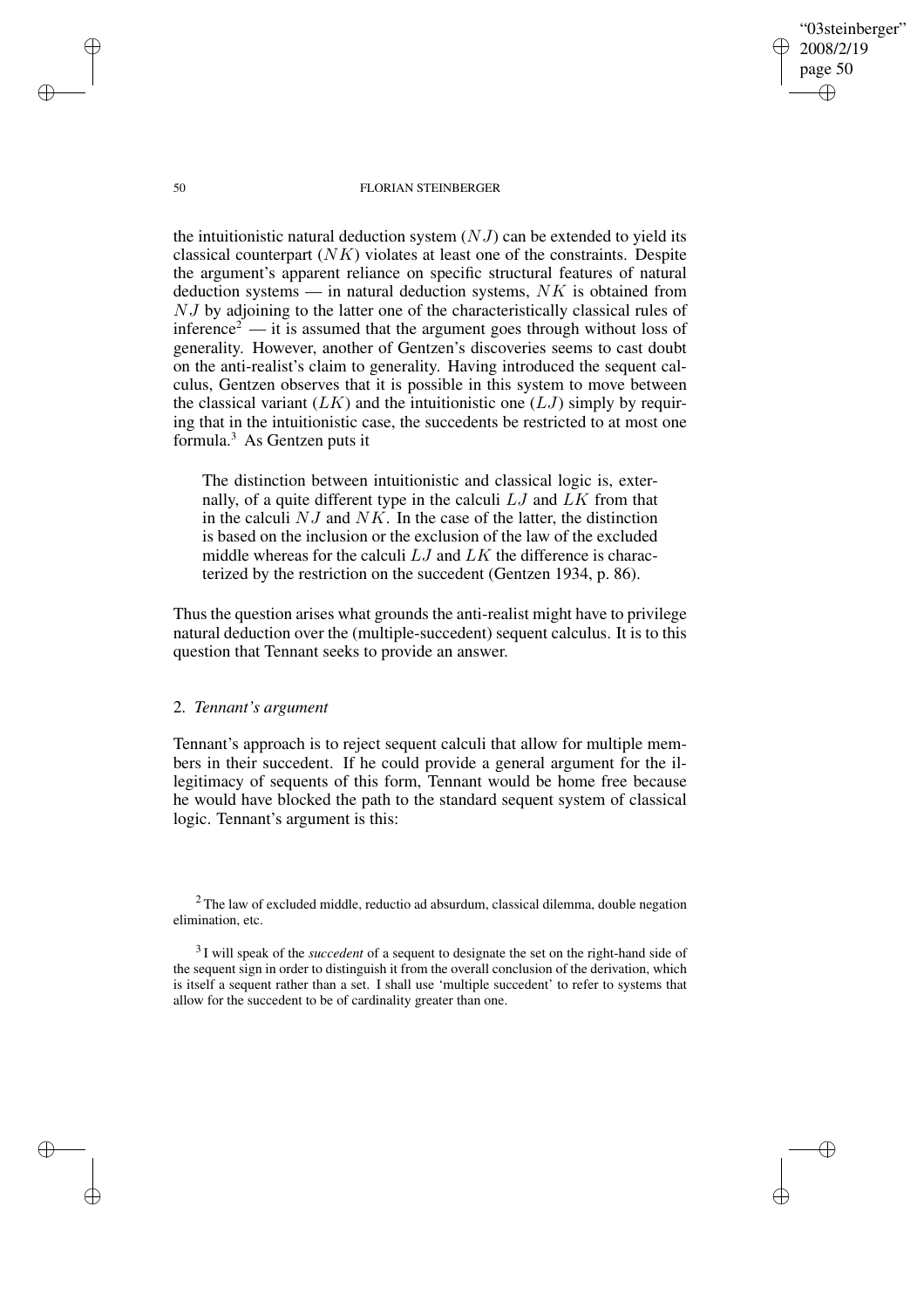"03steinberger" 2008/2/19 page 50 ✐ ✐

✐

✐

#### 50 FLORIAN STEINBERGER

the intuitionistic natural deduction system  $(NJ)$  can be extended to yield its classical counterpart  $(NK)$  violates at least one of the constraints. Despite the argument's apparent reliance on specific structural features of natural deduction systems — in natural deduction systems,  $NK$  is obtained from NJ by adjoining to the latter one of the characteristically classical rules of inference<sup>2</sup> — it is assumed that the argument goes through without loss of generality. However, another of Gentzen's discoveries seems to cast doubt on the anti-realist's claim to generality. Having introduced the sequent calculus, Gentzen observes that it is possible in this system to move between the classical variant  $(LK)$  and the intuitionistic one  $(LJ)$  simply by requiring that in the intuitionistic case, the succedents be restricted to at most one formula.<sup>3</sup> As Gentzen puts it

The distinction between intuitionistic and classical logic is, externally, of a quite different type in the calculi  $LJ$  and  $LK$  from that in the calculi  $NJ$  and  $NK$ . In the case of the latter, the distinction is based on the inclusion or the exclusion of the law of the excluded middle whereas for the calculi  $LJ$  and  $LK$  the difference is characterized by the restriction on the succedent (Gentzen 1934, p. 86).

Thus the question arises what grounds the anti-realist might have to privilege natural deduction over the (multiple-succedent) sequent calculus. It is to this question that Tennant seeks to provide an answer.

# 2. *Tennant's argument*

Tennant's approach is to reject sequent calculi that allow for multiple members in their succedent. If he could provide a general argument for the illegitimacy of sequents of this form, Tennant would be home free because he would have blocked the path to the standard sequent system of classical logic. Tennant's argument is this:

✐

✐

✐

<sup>&</sup>lt;sup>2</sup> The law of excluded middle, reductio ad absurdum, classical dilemma, double negation elimination, etc.

<sup>3</sup> I will speak of the *succedent* of a sequent to designate the set on the right-hand side of the sequent sign in order to distinguish it from the overall conclusion of the derivation, which is itself a sequent rather than a set. I shall use 'multiple succedent' to refer to systems that allow for the succedent to be of cardinality greater than one.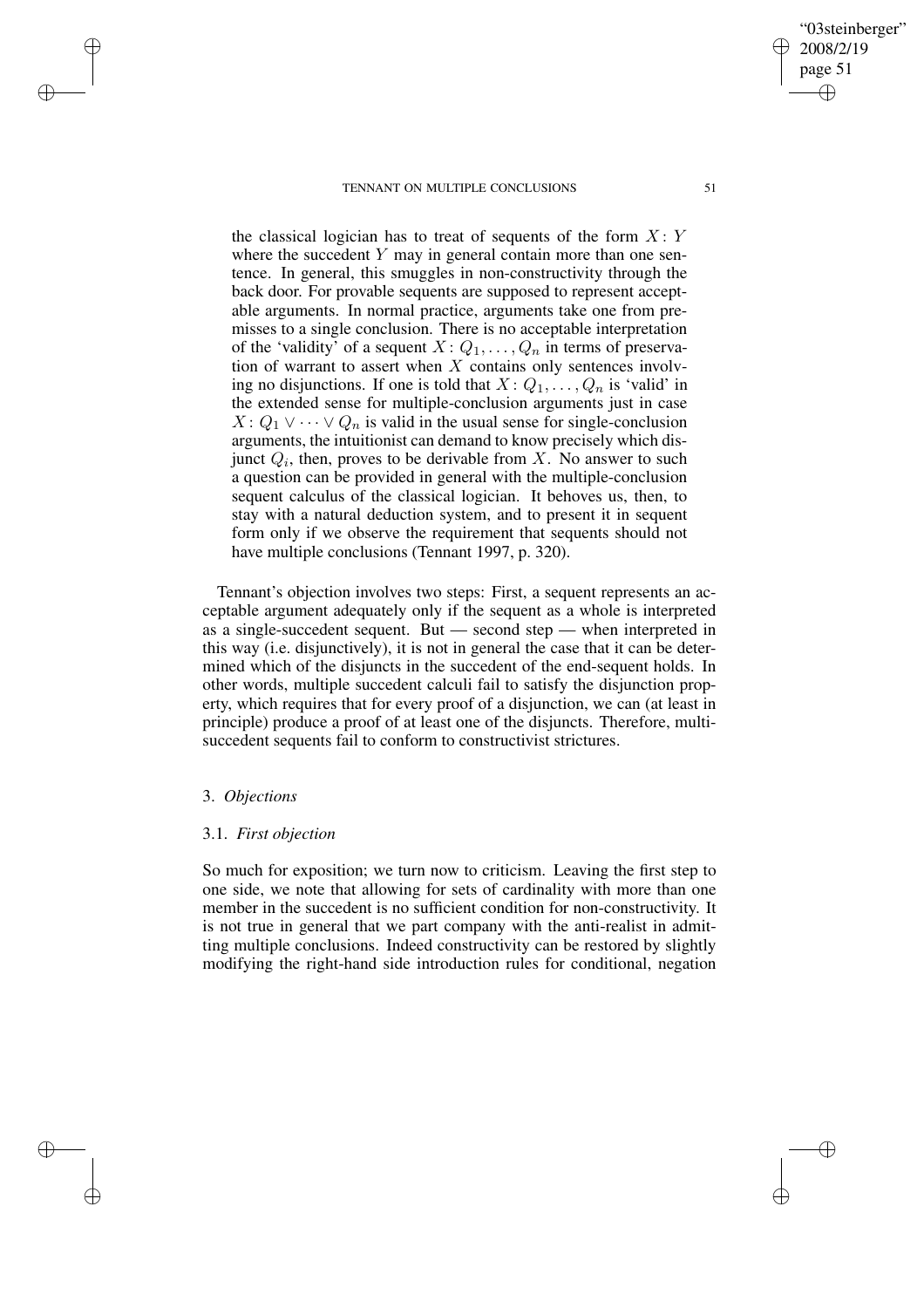#### TENNANT ON MULTIPLE CONCLUSIONS 51

the classical logician has to treat of sequents of the form  $X: Y$ where the succedent  $Y$  may in general contain more than one sentence. In general, this smuggles in non-constructivity through the back door. For provable sequents are supposed to represent acceptable arguments. In normal practice, arguments take one from premisses to a single conclusion. There is no acceptable interpretation of the 'validity' of a sequent  $X: Q_1, \ldots, Q_n$  in terms of preservation of warrant to assert when  $X$  contains only sentences involving no disjunctions. If one is told that  $X: Q_1, \ldots, Q_n$  is 'valid' in the extended sense for multiple-conclusion arguments just in case  $X: Q_1 \vee \cdots \vee Q_n$  is valid in the usual sense for single-conclusion arguments, the intuitionist can demand to know precisely which disjunct  $Q_i$ , then, proves to be derivable from X. No answer to such a question can be provided in general with the multiple-conclusion sequent calculus of the classical logician. It behoves us, then, to stay with a natural deduction system, and to present it in sequent form only if we observe the requirement that sequents should not have multiple conclusions (Tennant 1997, p. 320).

Tennant's objection involves two steps: First, a sequent represents an acceptable argument adequately only if the sequent as a whole is interpreted as a single-succedent sequent. But — second step — when interpreted in this way (i.e. disjunctively), it is not in general the case that it can be determined which of the disjuncts in the succedent of the end-sequent holds. In other words, multiple succedent calculi fail to satisfy the disjunction property, which requires that for every proof of a disjunction, we can (at least in principle) produce a proof of at least one of the disjuncts. Therefore, multisuccedent sequents fail to conform to constructivist strictures.

## 3. *Objections*

✐

✐

✐

✐

### 3.1. *First objection*

So much for exposition; we turn now to criticism. Leaving the first step to one side, we note that allowing for sets of cardinality with more than one member in the succedent is no sufficient condition for non-constructivity. It is not true in general that we part company with the anti-realist in admitting multiple conclusions. Indeed constructivity can be restored by slightly modifying the right-hand side introduction rules for conditional, negation

"03steinberger" 2008/2/19 page 51 ✐ ✐

✐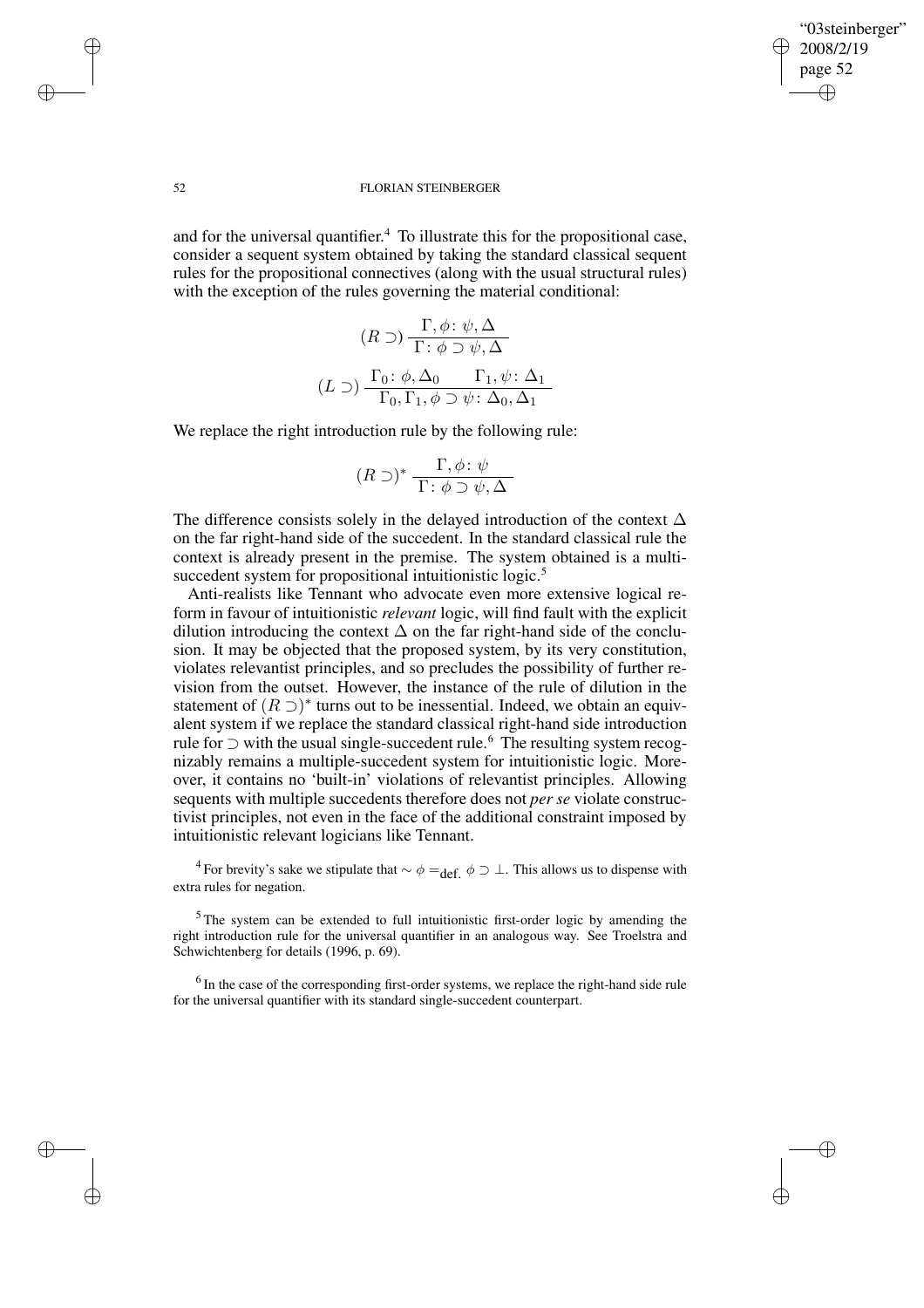✐

✐

#### 52 FLORIAN STEINBERGER

and for the universal quantifier. <sup>4</sup> To illustrate this for the propositional case, consider a sequent system obtained by taking the standard classical sequent rules for the propositional connectives (along with the usual structural rules) with the exception of the rules governing the material conditional:

$$
(R \supset) \frac{\Gamma, \phi \colon \psi, \Delta}{\Gamma \colon \phi \supset \psi, \Delta}
$$

$$
(L \supset) \frac{\Gamma_0 \colon \phi, \Delta_0 \qquad \Gamma_1, \psi \colon \Delta_1}{\Gamma_0, \Gamma_1, \phi \supset \psi \colon \Delta_0, \Delta_1}
$$

We replace the right introduction rule by the following rule:

$$
(R \supset)^* \frac{\Gamma, \phi \colon \psi}{\Gamma : \phi \supset \psi, \Delta}
$$

The difference consists solely in the delayed introduction of the context  $\Delta$ on the far right-hand side of the succedent. In the standard classical rule the context is already present in the premise. The system obtained is a multisuccedent system for propositional intuitionistic logic.<sup>5</sup>

Anti-realists like Tennant who advocate even more extensive logical reform in favour of intuitionistic *relevant* logic, will find fault with the explicit dilution introducing the context  $\Delta$  on the far right-hand side of the conclusion. It may be objected that the proposed system, by its very constitution, violates relevantist principles, and so precludes the possibility of further revision from the outset. However, the instance of the rule of dilution in the statement of  $(R \supset)^*$  turns out to be inessential. Indeed, we obtain an equivalent system if we replace the standard classical right-hand side introduction rule for ⊃ with the usual single-succedent rule.<sup>6</sup> The resulting system recognizably remains a multiple-succedent system for intuitionistic logic. Moreover, it contains no 'built-in' violations of relevantist principles. Allowing sequents with multiple succedents therefore does not *per se* violate constructivist principles, not even in the face of the additional constraint imposed by intuitionistic relevant logicians like Tennant.

<sup>4</sup> For brevity's sake we stipulate that  $\sim \phi =_{\text{def.}} \phi \supset \bot$ . This allows us to dispense with extra rules for negation.

 $5$ The system can be extended to full intuitionistic first-order logic by amending the right introduction rule for the universal quantifier in an analogous way. See Troelstra and Schwichtenberg for details (1996, p. 69).

 $<sup>6</sup>$  In the case of the corresponding first-order systems, we replace the right-hand side rule</sup> for the universal quantifier with its standard single-succedent counterpart.

✐

✐

✐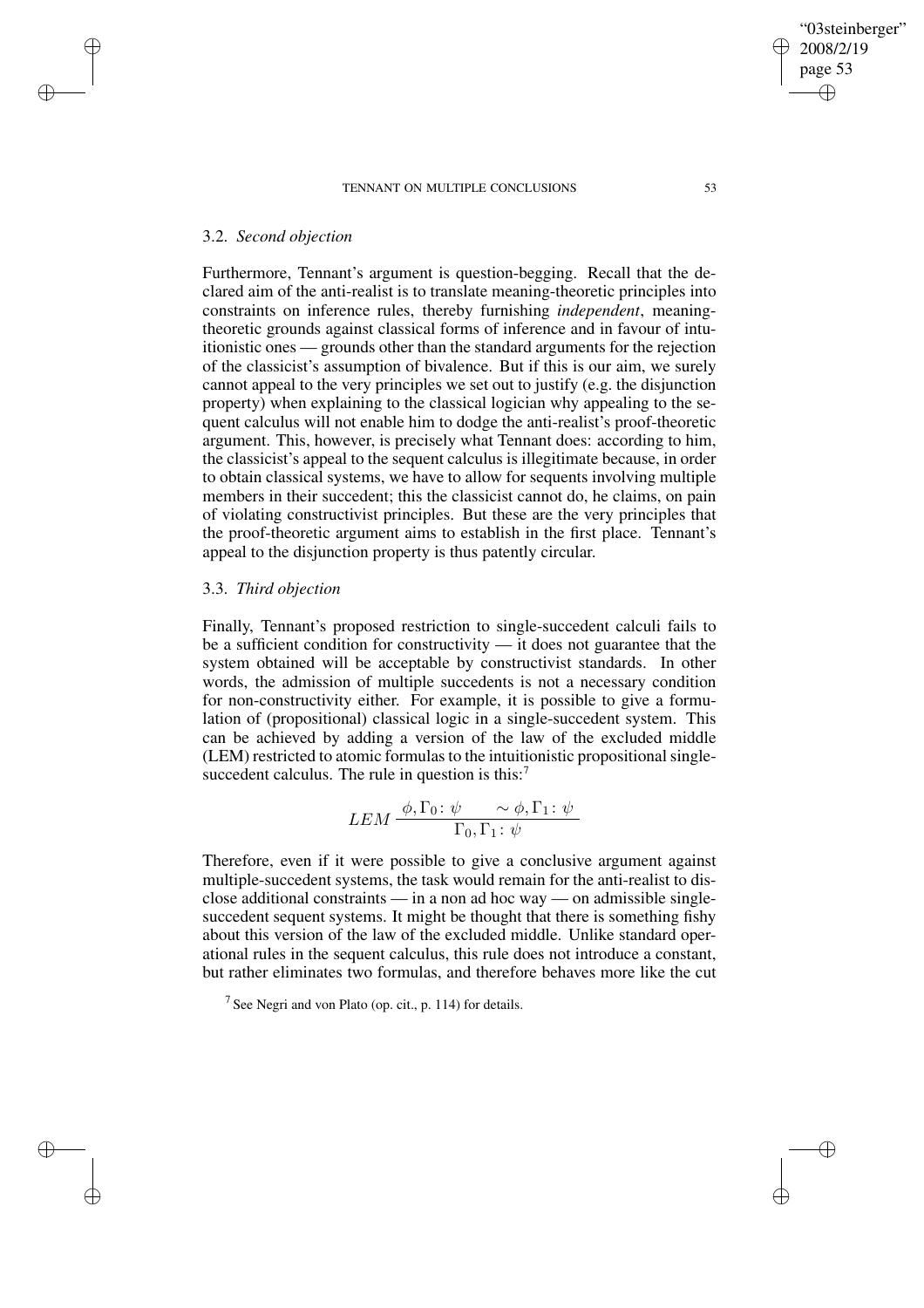#### TENNANT ON MULTIPLE CONCLUSIONS 53

## 3.2. *Second objection*

✐

✐

✐

✐

Furthermore, Tennant's argument is question-begging. Recall that the declared aim of the anti-realist is to translate meaning-theoretic principles into constraints on inference rules, thereby furnishing *independent*, meaningtheoretic grounds against classical forms of inference and in favour of intuitionistic ones — grounds other than the standard arguments for the rejection of the classicist's assumption of bivalence. But if this is our aim, we surely cannot appeal to the very principles we set out to justify (e.g. the disjunction property) when explaining to the classical logician why appealing to the sequent calculus will not enable him to dodge the anti-realist's proof-theoretic argument. This, however, is precisely what Tennant does: according to him, the classicist's appeal to the sequent calculus is illegitimate because, in order to obtain classical systems, we have to allow for sequents involving multiple members in their succedent; this the classicist cannot do, he claims, on pain of violating constructivist principles. But these are the very principles that the proof-theoretic argument aims to establish in the first place. Tennant's appeal to the disjunction property is thus patently circular.

# 3.3. *Third objection*

Finally, Tennant's proposed restriction to single-succedent calculi fails to be a sufficient condition for constructivity — it does not guarantee that the system obtained will be acceptable by constructivist standards. In other words, the admission of multiple succedents is not a necessary condition for non-constructivity either. For example, it is possible to give a formulation of (propositional) classical logic in a single-succedent system. This can be achieved by adding a version of the law of the excluded middle (LEM) restricted to atomic formulas to the intuitionistic propositional singlesuccedent calculus. The rule in question is this: $<sup>7</sup>$ </sup>

$$
LEM \xrightarrow{\phi, \Gamma_0: \psi} \frac{\sim \phi, \Gamma_1: \psi}{\Gamma_0, \Gamma_1: \psi}
$$

Therefore, even if it were possible to give a conclusive argument against multiple-succedent systems, the task would remain for the anti-realist to disclose additional constraints — in a non ad hoc way — on admissible singlesuccedent sequent systems. It might be thought that there is something fishy about this version of the law of the excluded middle. Unlike standard operational rules in the sequent calculus, this rule does not introduce a constant, but rather eliminates two formulas, and therefore behaves more like the cut

<sup>7</sup> See Negri and von Plato (op. cit., p. 114) for details.

"03steinberger" 2008/2/19 page 53

✐

✐

✐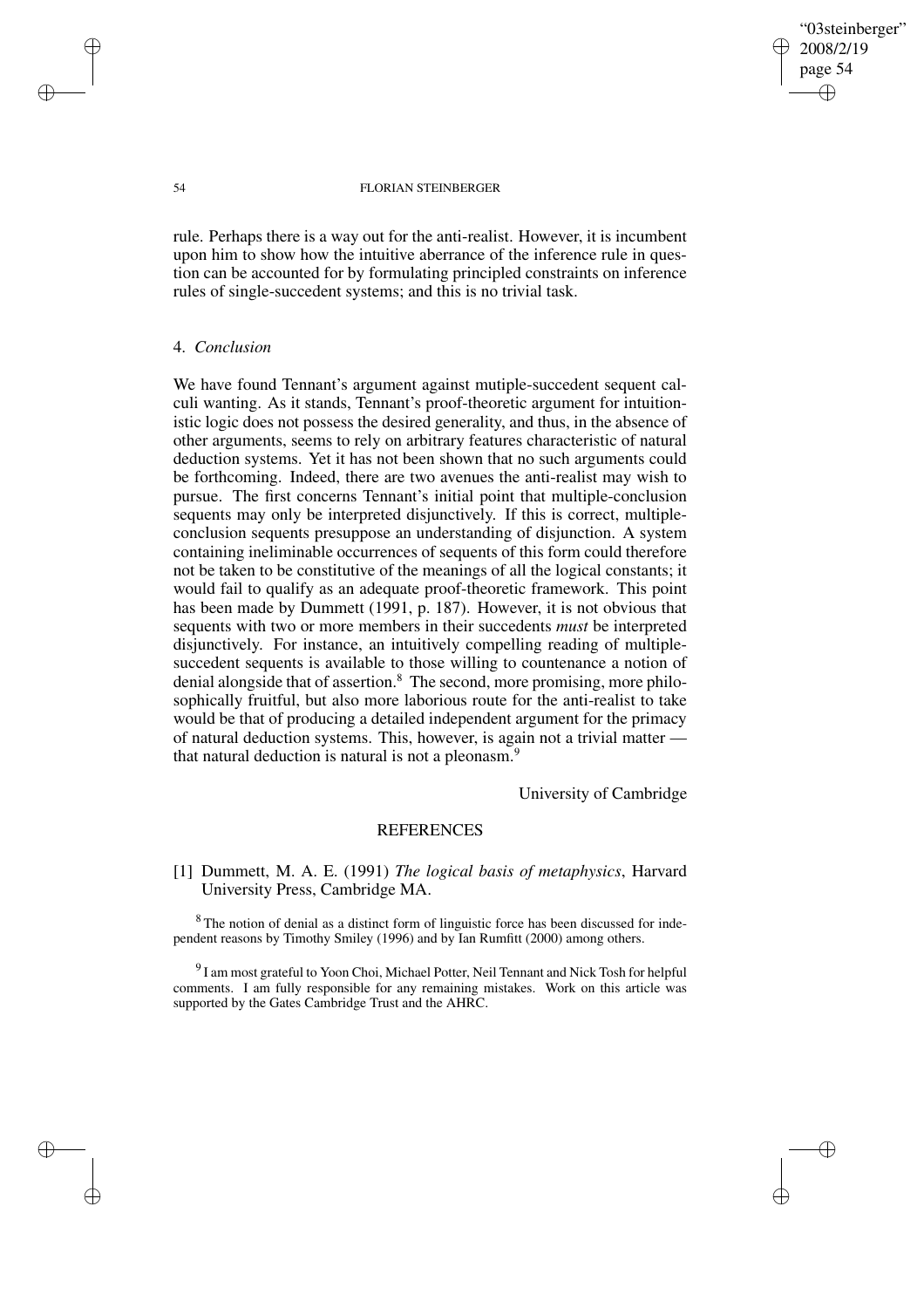"03steinberger" 2008/2/19 page 54 ✐ ✐

✐

✐

#### 54 FLORIAN STEINBERGER

rule. Perhaps there is a way out for the anti-realist. However, it is incumbent upon him to show how the intuitive aberrance of the inference rule in question can be accounted for by formulating principled constraints on inference rules of single-succedent systems; and this is no trivial task.

### 4. *Conclusion*

We have found Tennant's argument against mutiple-succedent sequent calculi wanting. As it stands, Tennant's proof-theoretic argument for intuitionistic logic does not possess the desired generality, and thus, in the absence of other arguments, seems to rely on arbitrary features characteristic of natural deduction systems. Yet it has not been shown that no such arguments could be forthcoming. Indeed, there are two avenues the anti-realist may wish to pursue. The first concerns Tennant's initial point that multiple-conclusion sequents may only be interpreted disjunctively. If this is correct, multipleconclusion sequents presuppose an understanding of disjunction. A system containing ineliminable occurrences of sequents of this form could therefore not be taken to be constitutive of the meanings of all the logical constants; it would fail to qualify as an adequate proof-theoretic framework. This point has been made by Dummett (1991, p. 187). However, it is not obvious that sequents with two or more members in their succedents *must* be interpreted disjunctively. For instance, an intuitively compelling reading of multiplesuccedent sequents is available to those willing to countenance a notion of denial alongside that of assertion.<sup>8</sup> The second, more promising, more philosophically fruitful, but also more laborious route for the anti-realist to take would be that of producing a detailed independent argument for the primacy of natural deduction systems. This, however, is again not a trivial matter that natural deduction is natural is not a pleonasm.<sup>9</sup>

University of Cambridge

## **REFERENCES**

[1] Dummett, M. A. E. (1991) *The logical basis of metaphysics*, Harvard University Press, Cambridge MA.

<sup>8</sup> The notion of denial as a distinct form of linguistic force has been discussed for independent reasons by Timothy Smiley (1996) and by Ian Rumfitt (2000) among others.

 $^{9}$ I am most grateful to Yoon Choi, Michael Potter, Neil Tennant and Nick Tosh for helpful comments. I am fully responsible for any remaining mistakes. Work on this article was supported by the Gates Cambridge Trust and the AHRC.

✐

✐

✐